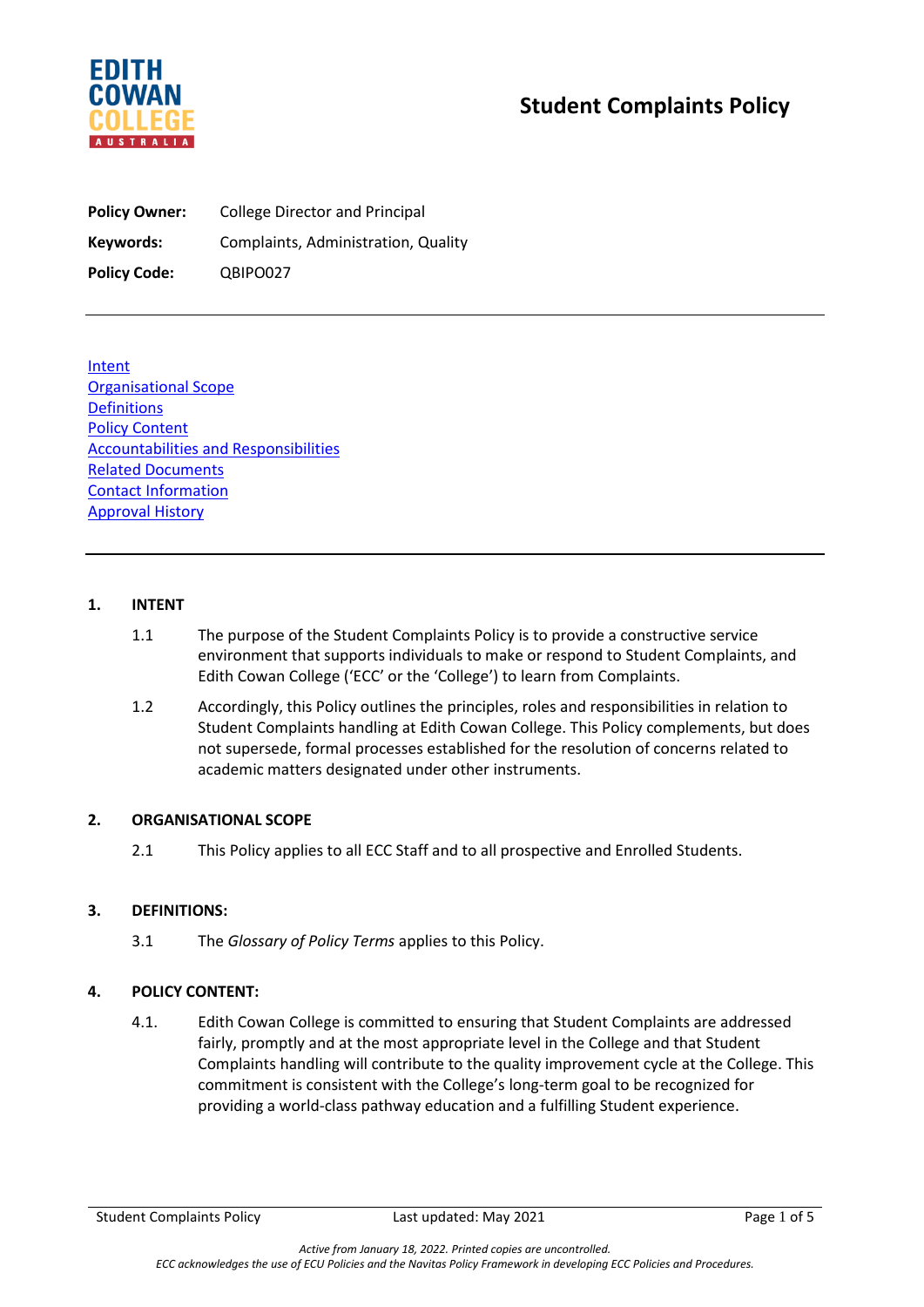

# **Student Complaints Policy**

**Policy Owner:** College Director and Principal **Keywords:** Complaints, Administration, Quality **Policy Code:** QBIPO027

Intent Organisational Scope **Definitions Policy Content** Accountabilities and Responsibilities Related Documents Contact Information Approval History

## **1. INTENT**

- 1.1 The purpose of the Student Complaints Policy is to provide a constructive service environment that supports individuals to make or respond to Student Complaints, and Edith Cowan College ('ECC' or the 'College') to learn from Complaints.
- 1.2 Accordingly, this Policy outlines the principles, roles and responsibilities in relation to Student Complaints handling at Edith Cowan College. This Policy complements, but does not supersede, formal processes established for the resolution of concerns related to academic matters designated under other instruments.

# **2. ORGANISATIONAL SCOPE**

2.1 This Policy applies to all ECC Staff and to all prospective and Enrolled Students.

#### **3. DEFINITIONS:**

3.1 The *Glossary of Policy Terms* applies to this Policy.

# **4. POLICY CONTENT:**

4.1. Edith Cowan College is committed to ensuring that Student Complaints are addressed fairly, promptly and at the most appropriate level in the College and that Student Complaints handling will contribute to the quality improvement cycle at the College. This commitment is consistent with the College's long-term goal to be recognized for providing a world-class pathway education and a fulfilling Student experience.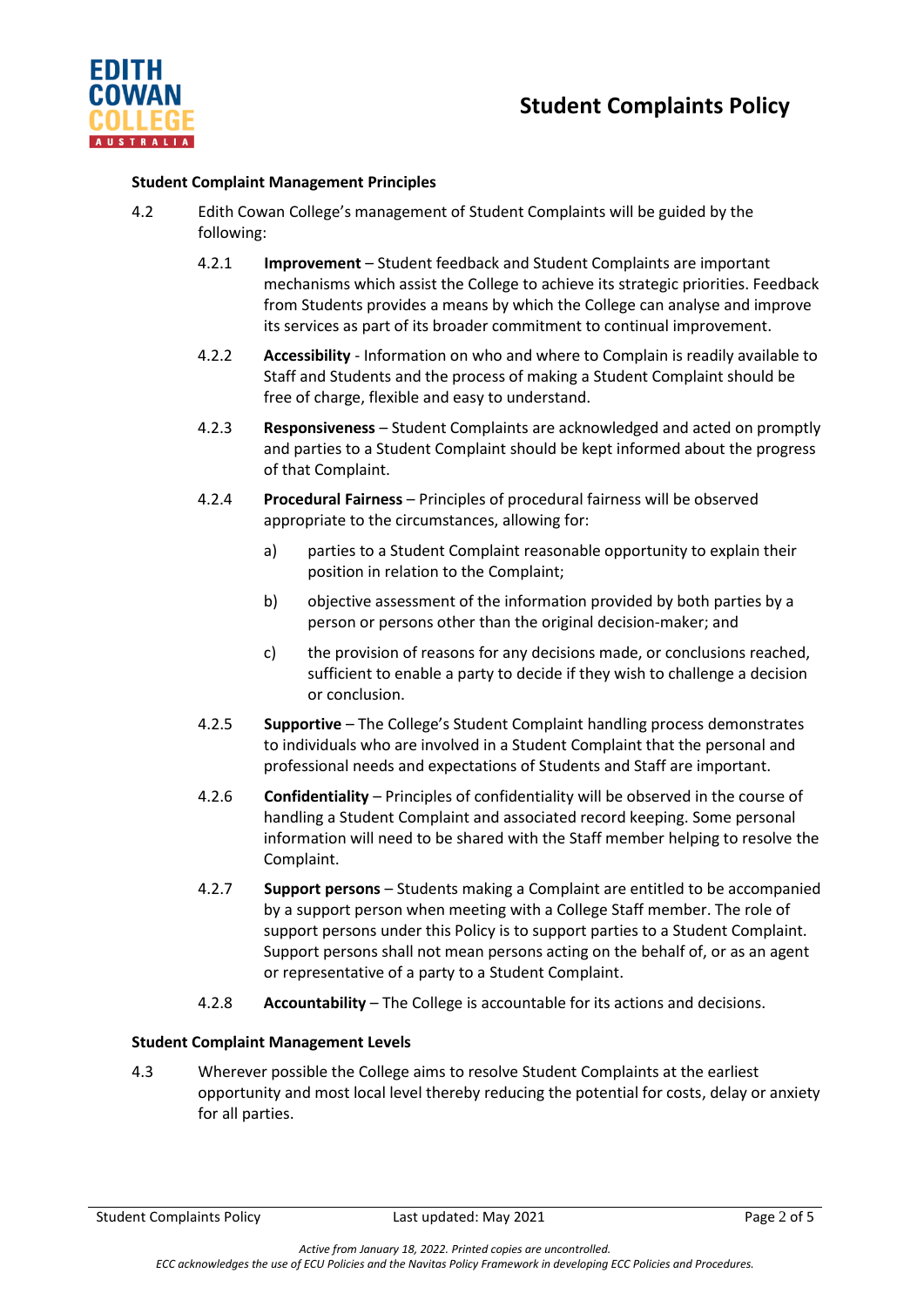

## **Student Complaint Management Principles**

- 4.2 Edith Cowan College's management of Student Complaints will be guided by the following:
	- 4.2.1 **Improvement** Student feedback and Student Complaints are important mechanisms which assist the College to achieve its strategic priorities. Feedback from Students provides a means by which the College can analyse and improve its services as part of its broader commitment to continual improvement.
	- 4.2.2 **Accessibility** Information on who and where to Complain is readily available to Staff and Students and the process of making a Student Complaint should be free of charge, flexible and easy to understand.
	- 4.2.3 **Responsiveness**  Student Complaints are acknowledged and acted on promptly and parties to a Student Complaint should be kept informed about the progress of that Complaint.
	- 4.2.4 **Procedural Fairness** Principles of procedural fairness will be observed appropriate to the circumstances, allowing for:
		- a) parties to a Student Complaint reasonable opportunity to explain their position in relation to the Complaint;
		- b) objective assessment of the information provided by both parties by a person or persons other than the original decision-maker; and
		- c) the provision of reasons for any decisions made, or conclusions reached, sufficient to enable a party to decide if they wish to challenge a decision or conclusion.
	- 4.2.5 **Supportive** The College's Student Complaint handling process demonstrates to individuals who are involved in a Student Complaint that the personal and professional needs and expectations of Students and Staff are important.
	- 4.2.6 **Confidentiality** Principles of confidentiality will be observed in the course of handling a Student Complaint and associated record keeping. Some personal information will need to be shared with the Staff member helping to resolve the Complaint.
	- 4.2.7 **Support persons** Students making a Complaint are entitled to be accompanied by a support person when meeting with a College Staff member. The role of support persons under this Policy is to support parties to a Student Complaint. Support persons shall not mean persons acting on the behalf of, or as an agent or representative of a party to a Student Complaint.
	- 4.2.8 **Accountability**  The College is accountable for its actions and decisions.

#### **Student Complaint Management Levels**

4.3 Wherever possible the College aims to resolve Student Complaints at the earliest opportunity and most local level thereby reducing the potential for costs, delay or anxiety for all parties.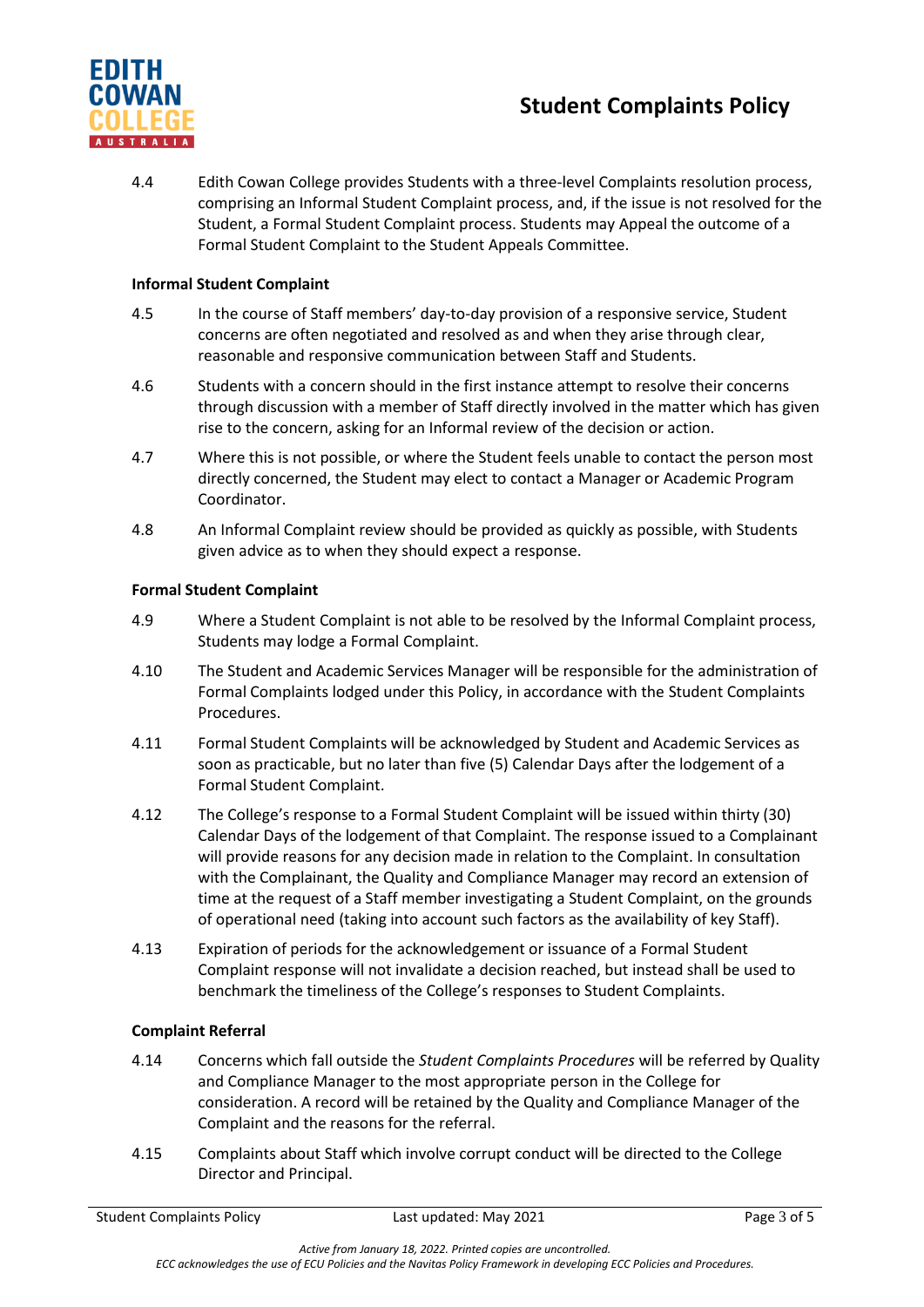# **Student Complaints Policy**



4.4 Edith Cowan College provides Students with a three-level Complaints resolution process, comprising an Informal Student Complaint process, and, if the issue is not resolved for the Student, a Formal Student Complaint process. Students may Appeal the outcome of a Formal Student Complaint to the Student Appeals Committee.

# **Informal Student Complaint**

- 4.5 In the course of Staff members' day-to-day provision of a responsive service, Student concerns are often negotiated and resolved as and when they arise through clear, reasonable and responsive communication between Staff and Students.
- 4.6 Students with a concern should in the first instance attempt to resolve their concerns through discussion with a member of Staff directly involved in the matter which has given rise to the concern, asking for an Informal review of the decision or action.
- 4.7 Where this is not possible, or where the Student feels unable to contact the person most directly concerned, the Student may elect to contact a Manager or Academic Program Coordinator.
- 4.8 An Informal Complaint review should be provided as quickly as possible, with Students given advice as to when they should expect a response.

## **Formal Student Complaint**

- 4.9 Where a Student Complaint is not able to be resolved by the Informal Complaint process, Students may lodge a Formal Complaint.
- 4.10 The Student and Academic Services Manager will be responsible for the administration of Formal Complaints lodged under this Policy, in accordance with the Student Complaints Procedures.
- 4.11 Formal Student Complaints will be acknowledged by Student and Academic Services as soon as practicable, but no later than five (5) Calendar Days after the lodgement of a Formal Student Complaint.
- 4.12 The College's response to a Formal Student Complaint will be issued within thirty (30) Calendar Days of the lodgement of that Complaint. The response issued to a Complainant will provide reasons for any decision made in relation to the Complaint. In consultation with the Complainant, the Quality and Compliance Manager may record an extension of time at the request of a Staff member investigating a Student Complaint, on the grounds of operational need (taking into account such factors as the availability of key Staff).
- 4.13 Expiration of periods for the acknowledgement or issuance of a Formal Student Complaint response will not invalidate a decision reached, but instead shall be used to benchmark the timeliness of the College's responses to Student Complaints.

#### **Complaint Referral**

- 4.14 Concerns which fall outside the *Student Complaints Procedures* will be referred by Quality and Compliance Manager to the most appropriate person in the College for consideration. A record will be retained by the Quality and Compliance Manager of the Complaint and the reasons for the referral.
- 4.15 Complaints about Staff which involve corrupt conduct will be directed to the College Director and Principal.

*Active from January 18, 2022. Printed copies are uncontrolled.*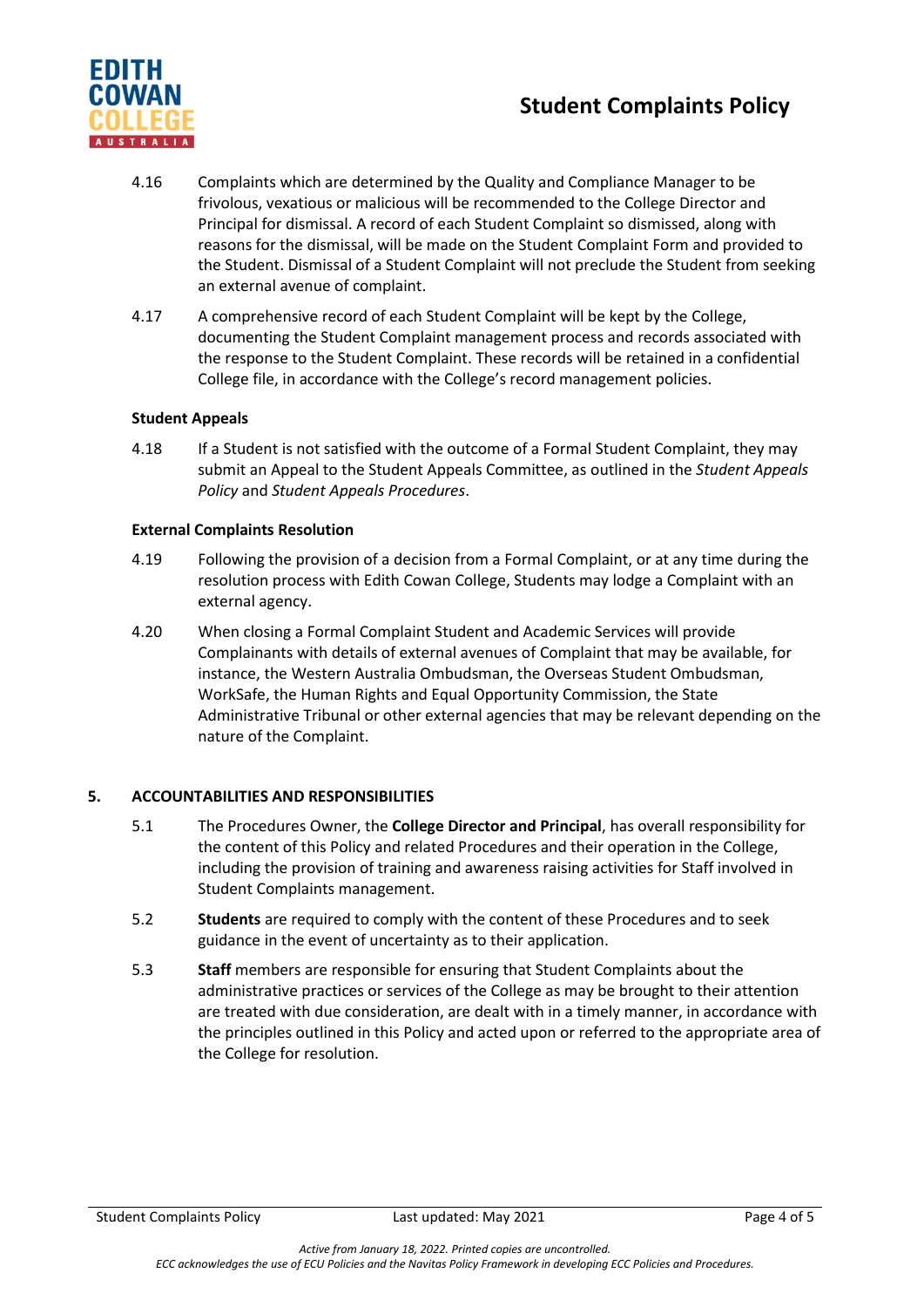# **Student Complaints Policy**



- 4.16 Complaints which are determined by the Quality and Compliance Manager to be frivolous, vexatious or malicious will be recommended to the College Director and Principal for dismissal. A record of each Student Complaint so dismissed, along with reasons for the dismissal, will be made on the Student Complaint Form and provided to the Student. Dismissal of a Student Complaint will not preclude the Student from seeking an external avenue of complaint.
- 4.17 A comprehensive record of each Student Complaint will be kept by the College, documenting the Student Complaint management process and records associated with the response to the Student Complaint. These records will be retained in a confidential College file, in accordance with the College's record management policies.

## **Student Appeals**

4.18 If a Student is not satisfied with the outcome of a Formal Student Complaint, they may submit an Appeal to the Student Appeals Committee, as outlined in the *Student Appeals Policy* and *Student Appeals Procedures*.

## **External Complaints Resolution**

- 4.19 Following the provision of a decision from a Formal Complaint, or at any time during the resolution process with Edith Cowan College, Students may lodge a Complaint with an external agency.
- 4.20 When closing a Formal Complaint Student and Academic Services will provide Complainants with details of external avenues of Complaint that may be available, for instance, the Western Australia Ombudsman, the Overseas Student Ombudsman, WorkSafe, the Human Rights and Equal Opportunity Commission, the State Administrative Tribunal or other external agencies that may be relevant depending on the nature of the Complaint.

#### **5. ACCOUNTABILITIES AND RESPONSIBILITIES**

- 5.1 The Procedures Owner, the **College Director and Principal**, has overall responsibility for the content of this Policy and related Procedures and their operation in the College, including the provision of training and awareness raising activities for Staff involved in Student Complaints management.
- 5.2 **Students** are required to comply with the content of these Procedures and to seek guidance in the event of uncertainty as to their application.
- 5.3 **Staff** members are responsible for ensuring that Student Complaints about the administrative practices or services of the College as may be brought to their attention are treated with due consideration, are dealt with in a timely manner, in accordance with the principles outlined in this Policy and acted upon or referred to the appropriate area of the College for resolution.